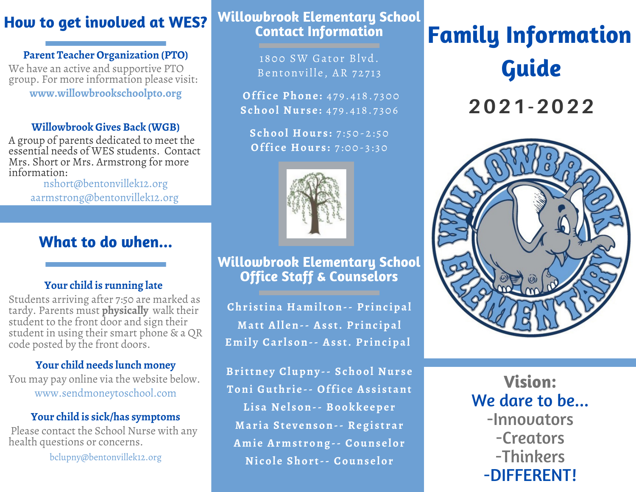### **How to get involved at WES?**

**Parent Teacher Organization (PTO)**

We have an active and supportive PTO group. For more information please visit: **www.willowbrookschoolpto.org**

#### **Willowbrook Gives Back (WGB)**

A group of parents dedicated to meet the essential needs of WES students. Contact Mrs. Short or Mrs. Armstrong for more information:

nshort@bentonvillek12.org aarmstrong@bentonvillek12.org

#### **What to do when...**

#### **Your child is running late**

Students arriving after 7:50 are marked as tardy. Parents must **physically** walk their student to the front door and sign their student in using their smart phone & aQR code posted by the front doors.

#### **Your child needs lunch money**

You may pay online via the website below. www.sendmoneytoschool.com

#### **Your child is sick/has symptoms**

Please contact the School Nurse with any health questions or concerns.

bclupny@bentonvillek12.org

#### **Willowbrook Elementary School Contact Information**

1800 SW Gator Blyd. Bentonville, AR 72713

**Office Phone: 479.418.7300 School Nur s e :** 4 7 9 . 4 18. 7 306

**School Hour s :** 7 : 50- 2 : 50 **Office Hours:** 7:00-3:30



#### **Willowbrook Elementary School Office Staff & Counselors**

**Chr i s tina Hamilton-- Pr inc ipal Matt All en-- As s t. Pr inc ipal Emil y Car l son-- As s t. Pr inc ipal**

**Br ittne y Clupny -- School Nur s e Toni Guthr i e -- Offi c e As s i s tant Li sa Ne lson-- Bookke epe r Mar ia St e v enson-- Regi s t rar Ami e Arms t rong-- Couns e lor Ni col e Shor t-- Couns e lor**

## **Family Information Guide**

**2021-2022**



**Vision:** We dare to be... -Innovators -Creators -Thinkers -DIFFERENT!